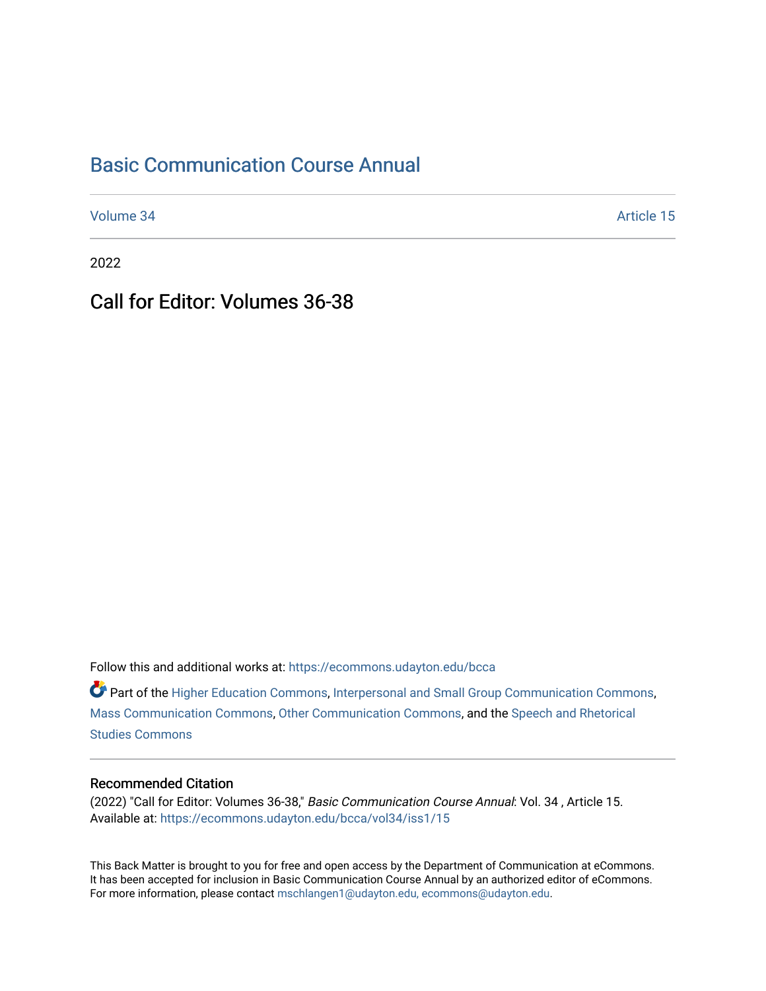## [Basic Communication Course Annual](https://ecommons.udayton.edu/bcca)

[Volume 34](https://ecommons.udayton.edu/bcca/vol34) Article 15

2022

Call for Editor: Volumes 36-38

Follow this and additional works at: [https://ecommons.udayton.edu/bcca](https://ecommons.udayton.edu/bcca?utm_source=ecommons.udayton.edu%2Fbcca%2Fvol34%2Fiss1%2F15&utm_medium=PDF&utm_campaign=PDFCoverPages)

Part of the [Higher Education Commons,](http://network.bepress.com/hgg/discipline/1245?utm_source=ecommons.udayton.edu%2Fbcca%2Fvol34%2Fiss1%2F15&utm_medium=PDF&utm_campaign=PDFCoverPages) [Interpersonal and Small Group Communication Commons,](http://network.bepress.com/hgg/discipline/332?utm_source=ecommons.udayton.edu%2Fbcca%2Fvol34%2Fiss1%2F15&utm_medium=PDF&utm_campaign=PDFCoverPages) [Mass Communication Commons](http://network.bepress.com/hgg/discipline/334?utm_source=ecommons.udayton.edu%2Fbcca%2Fvol34%2Fiss1%2F15&utm_medium=PDF&utm_campaign=PDFCoverPages), [Other Communication Commons,](http://network.bepress.com/hgg/discipline/339?utm_source=ecommons.udayton.edu%2Fbcca%2Fvol34%2Fiss1%2F15&utm_medium=PDF&utm_campaign=PDFCoverPages) and the [Speech and Rhetorical](http://network.bepress.com/hgg/discipline/338?utm_source=ecommons.udayton.edu%2Fbcca%2Fvol34%2Fiss1%2F15&utm_medium=PDF&utm_campaign=PDFCoverPages) [Studies Commons](http://network.bepress.com/hgg/discipline/338?utm_source=ecommons.udayton.edu%2Fbcca%2Fvol34%2Fiss1%2F15&utm_medium=PDF&utm_campaign=PDFCoverPages) 

## Recommended Citation

(2022) "Call for Editor: Volumes 36-38," Basic Communication Course Annual: Vol. 34 , Article 15. Available at: [https://ecommons.udayton.edu/bcca/vol34/iss1/15](https://ecommons.udayton.edu/bcca/vol34/iss1/15?utm_source=ecommons.udayton.edu%2Fbcca%2Fvol34%2Fiss1%2F15&utm_medium=PDF&utm_campaign=PDFCoverPages) 

This Back Matter is brought to you for free and open access by the Department of Communication at eCommons. It has been accepted for inclusion in Basic Communication Course Annual by an authorized editor of eCommons. For more information, please contact [mschlangen1@udayton.edu, ecommons@udayton.edu.](mailto:mschlangen1@udayton.edu,%20ecommons@udayton.edu)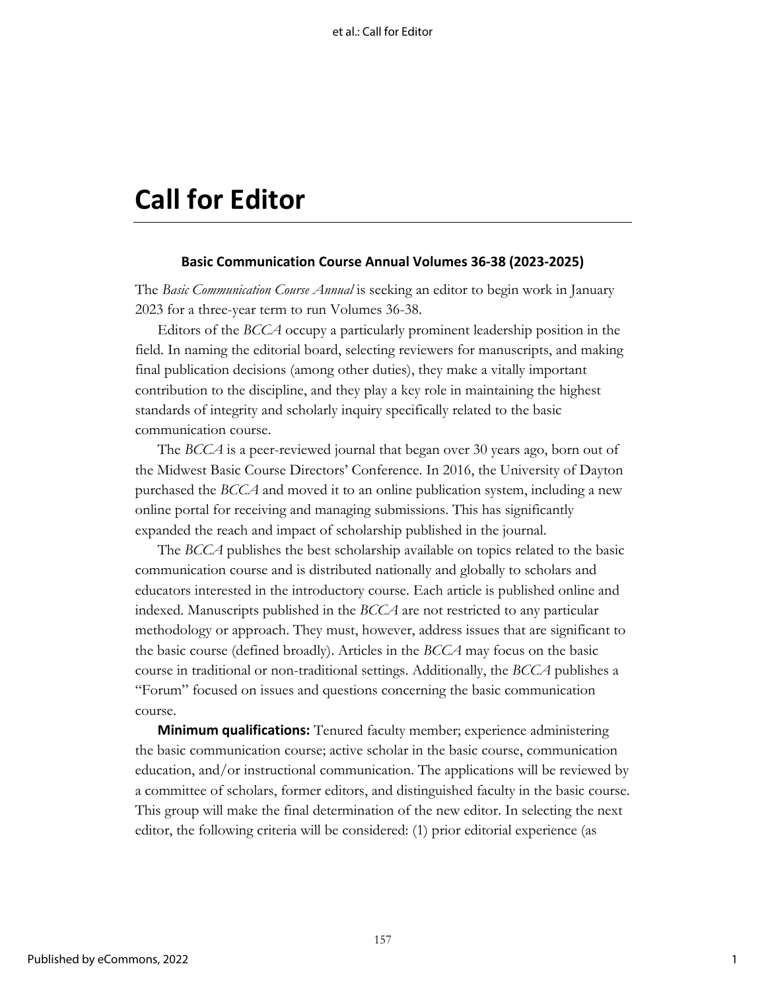## **Call for Editor**

## **Basic Communication Course Annual Volumes 36-38 (2023-2025)**

The *Basic Communication Course Annual* is seeking an editor to begin work in January 2023 for a three-year term to run Volumes 36-38.

Editors of the *BCCA* occupy a particularly prominent leadership position in the field. In naming the editorial board, selecting reviewers for manuscripts, and making final publication decisions (among other duties), they make a vitally important contribution to the discipline, and they play a key role in maintaining the highest standards of integrity and scholarly inquiry specifically related to the basic communication course.

The *BCCA* is a peer-reviewed journal that began over 30 years ago, born out of the Midwest Basic Course Directors' Conference. In 2016, the University of Dayton purchased the *BCCA* and moved it to an online publication system, including a new online portal for receiving and managing submissions. This has significantly expanded the reach and impact of scholarship published in the journal.

The *BCCA* publishes the best scholarship available on topics related to the basic communication course and is distributed nationally and globally to scholars and educators interested in the introductory course. Each article is published online and indexed. Manuscripts published in the *BCCA* are not restricted to any particular methodology or approach. They must, however, address issues that are significant to the basic course (defined broadly). Articles in the *BCCA* may focus on the basic course in traditional or non-traditional settings. Additionally, the *BCCA* publishes a "Forum" focused on issues and questions concerning the basic communication course.

**Minimum qualifications:** Tenured faculty member; experience administering the basic communication course; active scholar in the basic course, communication education, and/or instructional communication. The applications will be reviewed by a committee of scholars, former editors, and distinguished faculty in the basic course. This group will make the final determination of the new editor. In selecting the next editor, the following criteria will be considered: (1) prior editorial experience (as